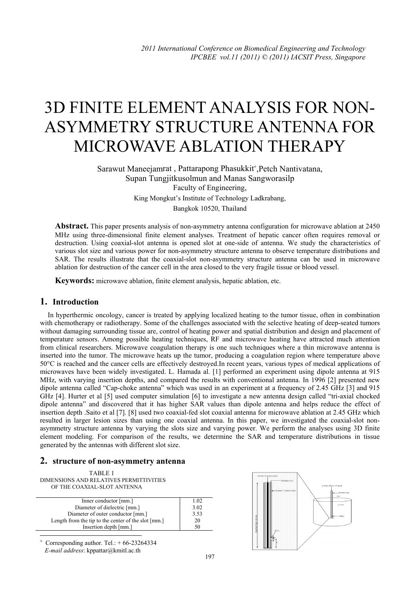# 3D FINITE ELEMENT ANALYSIS FOR NON-ASYMMETRY STRUCTURE ANTENNA FOR MICROWAVE ABLATION THERAPY

Sarawut Maneejamrat, Pattarapong Phasukkit<sup>+</sup>, Petch Nantivatana, Supan Tungjitkusolmun and Manas Sangworasilp Faculty of Engineering, King Mongkut's Institute of Technology Ladkrabang, Bangkok 10520, Thailand

**Abstract.** This paper presents analysis of non-asymmetry antenna configuration for microwave ablation at 2450 MHz using three-dimensional finite element analyses. Treatment of hepatic cancer often requires removal or destruction. Using coaxial-slot antenna is opened slot at one-side of antenna. We study the characteristics of various slot size and various power for non-asymmetry structure antenna to observe temperature distributions and SAR. The results illustrate that the coaxial-slot non-asymmetry structure antenna can be used in microwave ablation for destruction of the cancer cell in the area closed to the very fragile tissue or blood vessel.

**Keywords:** microwave ablation, finite element analysis, hepatic ablation, etc.

## **1. Introduction**

In hyperthermic oncology, cancer is treated by applying localized heating to the tumor tissue, often in combination with chemotherapy or radiotherapy. Some of the challenges associated with the selective heating of deep-seated tumors without damaging surrounding tissue are, control of heating power and spatial distribution and design and placement of temperature sensors. Among possible heating techniques, RF and microwave heating have attracted much attention from clinical researchers. Microwave coagulation therapy is one such techniques where a thin microwave antenna is inserted into the tumor. The microwave heats up the tumor, producing a coagulation region where temperature above 50°C is reached and the cancer cells are effectively destroyed.In recent years, various types of medical applications of microwaves have been widely investigated. L. Hamada al. [1] performed an experiment using dipole antenna at 915 MHz, with varying insertion depths, and compared the results with conventional antenna. In 1996 [2] presented new dipole antenna called "Cap-choke antenna" which was used in an experiment at a frequency of 2.45 GHz [3] and 915 GHz [4]. Hurter et al [5] used computer simulation [6] to investigate a new antenna design called "tri-axial chocked dipole antenna" and discovered that it has higher SAR values than dipole antenna and helps reduce the effect of insertion depth .Saito et al [7]. [8] used two coaxial-fed slot coaxial antenna for microwave ablation at 2.45 GHz which resulted in larger lesion sizes than using one coaxial antenna. In this paper, we investigated the coaxial-slot nonasymmetry structure antenna by varying the slots size and varying power. We perform the analyses using 3D finite element modeling. For comparison of the results, we determine the SAR and temperature distributions in tissue generated by the antennas with different slot size.

### **2. structure of non-asymmetry antenna**

| TABLE 1                                 |
|-----------------------------------------|
| DIMENSIONS AND RELATIVES PERMITTIVITIES |
| OF THE COAXIAL-SLOT ANTENNA             |

| Inner conductor [mm.]                               | 1.02 |
|-----------------------------------------------------|------|
| Diameter of dielectric [mm.]                        | 3.02 |
| Diameter of outer conductor [mm.]                   | 3.53 |
| Length from the tip to the center of the slot [mm.] | 20   |
| Insertion depth [mm.]                               | 50   |
|                                                     |      |

+ Corresponding author. Tel.:  $+66-23264334$ *E-mail address*: kppattar@kmitl.ac.th

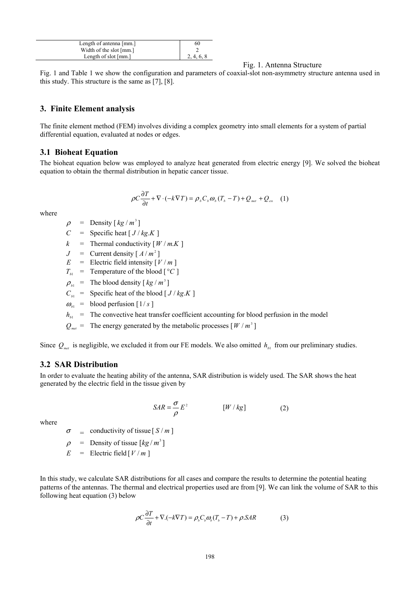| Length of antenna [mm.]         | 60         |
|---------------------------------|------------|
| Width of the slot [mm.]         |            |
| Length of slot ${\text{[mm.]}}$ | 2, 4, 6, 8 |

Fig. 1. Antenna Structure

Fig. 1 and Table 1 we show the configuration and parameters of coaxial-slot non-asymmetry structure antenna used in this study. This structure is the same as [7], [8].

#### **3. Finite Element analysis**

The finite element method (FEM) involves dividing a complex geometry into small elements for a system of partial differential equation, evaluated at nodes or edges.

#### **3.1 Bioheat Equation**

The bioheat equation below was employed to analyze heat generated from electric energy [9]. We solved the bioheat equation to obtain the thermal distribution in hepatic cancer tissue.

$$
\rho C \frac{\partial T}{\partial t} + \nabla \cdot (-k \nabla T) = \rho_{b} C_{b} \omega_{b} (T_{b} - T) + Q_{net} + Q_{ex} \quad (1)
$$

where

- $\rho$  = Density  $\lceil k g/m^3 \rceil$
- *C* = Specific heat  $[J/kg.K]$
- $k =$  Thermal conductivity  $\lceil W/m,K \rceil$
- $J =$  Current density  $\lceil A/m^2 \rceil$
- $E =$  Electric field intensity  $\lceil V/m \rceil$
- $T_{b1}$  = Temperature of the blood [ $^{\circ}C$ ]
- $\rho_{\mu}$  = The blood density  $\lceil k g / m^3 \rceil$
- $C_{b1}$  = Specific heat of the blood  $[J/kg,K]$
- $\omega_{\mu}$  = blood perfusion [1/s]

 $h_{b_1}$  = The convective heat transfer coefficient accounting for blood perfusion in the model

 $Q_{\text{met}} =$  The energy generated by the metabolic processes  $[W / m^3]$ 

Since  $Q_{\text{net}}$  is negligible, we excluded it from our FE models. We also omitted  $h_{\text{tot}}$  from our preliminary studies.

#### **3.2 SAR Distribution**

In order to evaluate the heating ability of the antenna, SAR distribution is widely used. The SAR shows the heat generated by the electric field in the tissue given by

$$
SAR = \frac{\sigma}{\rho} E^2 \qquad [W/kg] \qquad (2)
$$

where

 $\sigma$  = conductivity of tissue  $[S/m]$ 

 $\rho$  = Density of tissue  $\left[kg/m^3\right]$ 

 $E =$  Electric field  $\left[ V/m \right]$ 

In this study, we calculate SAR distributions for all cases and compare the results to determine the potential heating patterns of the antennas. The thermal and electrical properties used are from [9]. We can link the volume of SAR to this following heat equation (3) below

$$
\rho C \frac{\partial T}{\partial t} + \nabla \cdot (-k \nabla T) = \rho_s C_s \omega_s (T_s - T) + \rho \cdot SAR \tag{3}
$$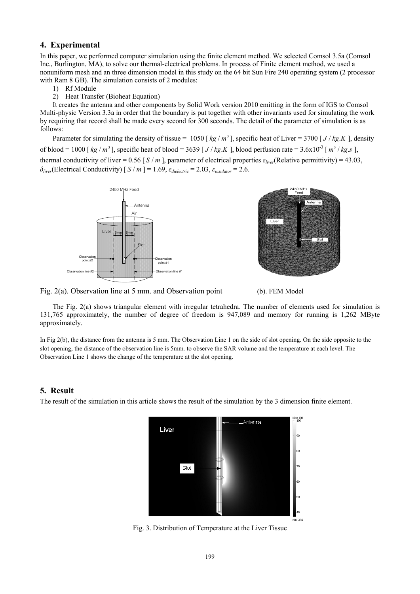#### **4. Experimental**

In this paper, we performed computer simulation using the finite element method. We selected Comsol 3.5a (Comsol Inc., Burlington, MA), to solve our thermal-electrical problems. In process of Finite element method, we used a nonuniform mesh and an three dimension model in this study on the 64 bit Sun Fire 240 operating system (2 processor with Ram 8 GB). The simulation consists of 2 modules:

1) Rf Module

2) Heat Transfer (Bioheat Equation)

It creates the antenna and other components by Solid Work version 2010 emitting in the form of IGS to Comsol Multi-physic Version 3.3a in order that the boundary is put together with other invariants used for simulating the work by requiring that record shall be made every second for 300 seconds. The detail of the parameter of simulation is as follows:

Parameter for simulating the density of tissue =  $1050 \left[\frac{kg}{m^3}\right]$ , specific heat of Liver = 3700  $\left[J/\frac{kg}{K}\right]$ , density of blood = 1000 [ $kg/m^3$ ], specific heat of blood = 3639 [ $J/kg.K$ ], blood perfusion rate = 3.6x10<sup>-3</sup> [ $m^3/kg.s$ ], thermal conductivity of liver = 0.56 [  $S / m$  ], parameter of electrical properties  $\varepsilon_{live}$ (Relative permittivity) = 43.03,  $\delta_{\text{diver}}$ (Electrical Conductivity) [ $S/m$ ] = 1.69,  $\varepsilon_{\text{dielectric}}$  = 2.03,  $\varepsilon_{\text{insulator}}$  = 2.6.





Fig. 2(a). Observation line at 5 mm. and Observation point (b). FEM Model

The Fig. 2(a) shows triangular element with irregular tetrahedra. The number of elements used for simulation is 131,765 approximately, the number of degree of freedom is 947,089 and memory for running is 1,262 MByte approximately.

In Fig 2(b), the distance from the antenna is 5 mm. The Observation Line 1 on the side of slot opening. On the side opposite to the slot opening, the distance of the observation line is 5mm. to observe the SAR volume and the temperature at each level. The Observation Line 1 shows the change of the temperature at the slot opening.

#### **5. Result**

The result of the simulation in this article shows the result of the simulation by the 3 dimension finite element.



Fig. 3. Distribution of Temperature at the Liver Tissue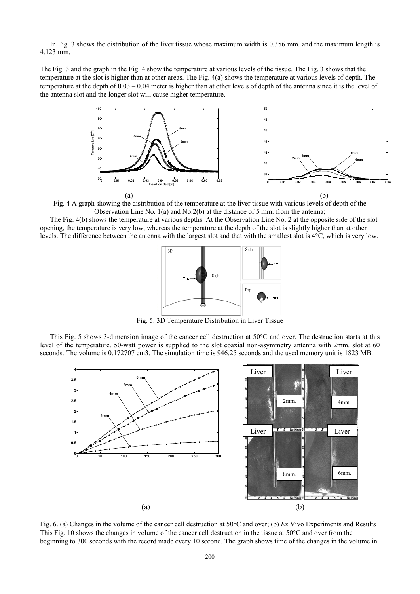In Fig. 3 shows the distribution of the liver tissue whose maximum width is 0.356 mm. and the maximum length is 4.123 mm.

The Fig. 3 and the graph in the Fig. 4 show the temperature at various levels of the tissue. The Fig. 3 shows that the temperature at the slot is higher than at other areas. The Fig. 4(a) shows the temperature at various levels of depth. The temperature at the depth of 0.03 – 0.04 meter is higher than at other levels of depth of the antenna since it is the level of the antenna slot and the longer slot will cause higher temperature.



Fig. 4 A graph showing the distribution of the temperature at the liver tissue with various levels of depth of the Observation Line No. 1(a) and No.2(b) at the distance of 5 mm. from the antenna;

The Fig. 4(b) shows the temperature at various depths. At the Observation Line No. 2 at the opposite side of the slot opening, the temperature is very low, whereas the temperature at the depth of the slot is slightly higher than at other levels. The difference between the antenna with the largest slot and that with the smallest slot is 4°C, which is very low.



Fig. 5. 3D Temperature Distribution in Liver Tissue

This Fig. 5 shows 3-dimension image of the cancer cell destruction at 50°C and over. The destruction starts at this level of the temperature. 50-watt power is supplied to the slot coaxial non-asymmetry antenna with 2mm. slot at 60 seconds. The volume is 0.172707 cm3. The simulation time is 946.25 seconds and the used memory unit is 1823 MB.



Fig. 6. (a) Changes in the volume of the cancer cell destruction at 50°C and over; (b) *Ex* Vivo Experiments and Results This Fig. 10 shows the changes in volume of the cancer cell destruction in the tissue at 50°C and over from the beginning to 300 seconds with the record made every 10 second. The graph shows time of the changes in the volume in